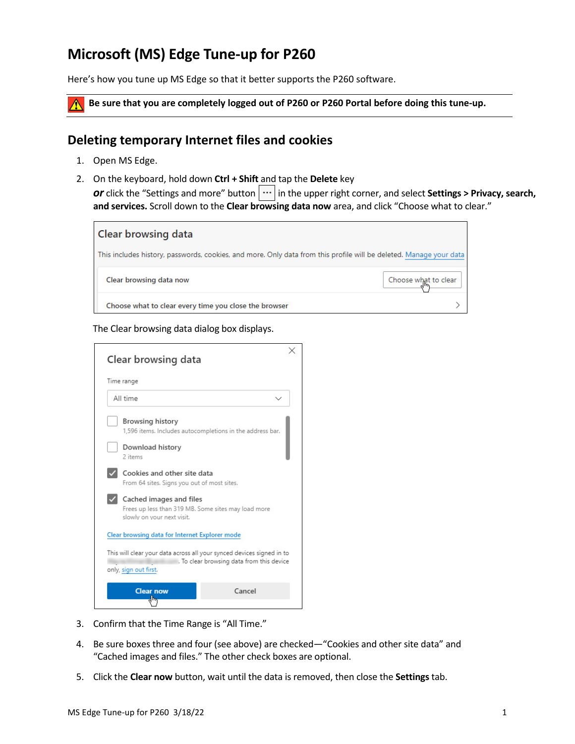## **Microsoft (MS) Edge Tune-up for P260**

Here's how you tune up MS Edge so that it better supports the P260 software.

**Be sure that you are completely logged out of P260 or P260 Portal before doing this tune-up.**

## **Deleting temporary Internet files and cookies**

- 1. Open MS Edge.
- 2. On the keyboard, hold down **Ctrl + Shift** and tap the **Delete** key *or* click the "Settings and more" button  $\|\cdots\|$  in the upper right corner, and select **Settings > Privacy, search, and services.** Scroll down to the **Clear browsing data now** area, and click "Choose what to clear."



## The Clear browsing data dialog box displays.

| Time range |                                                                                                              |                                           |
|------------|--------------------------------------------------------------------------------------------------------------|-------------------------------------------|
|            | All time                                                                                                     |                                           |
|            | <b>Browsing history</b><br>1,596 items. Includes autocompletions in the address bar.                         |                                           |
|            | Download history<br>2 items                                                                                  |                                           |
|            | Cookies and other site data<br>From 64 sites. Signs you out of most sites.                                   |                                           |
|            | Cached images and files<br>Frees up less than 319 MB. Some sites may load more<br>slowly on your next visit. |                                           |
|            | Clear browsing data for Internet Explorer mode                                                               |                                           |
|            | This will clear your data across all your synced devices signed in to<br>only, sign out first.               | . To clear browsing data from this device |
|            | <b>Clear now</b>                                                                                             | Cancel                                    |

- 3. Confirm that the Time Range is "All Time."
- 4. Be sure boxes three and four (see above) are checked—"Cookies and other site data" and "Cached images and files." The other check boxes are optional.
- 5. Click the **Clear now** button, wait until the data is removed, then close the **Settings**tab.